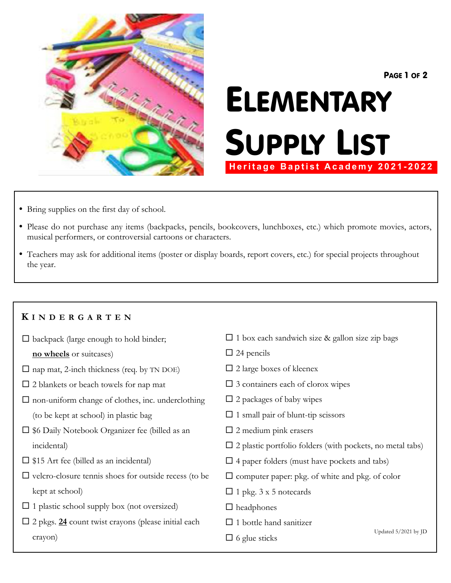

PAGE 1 OF 2

# ELEMENTARY SUPPLY LIST **Heritage Baptist Academy 2021-2022**

- Bring supplies on the first day of school.
- ü Please do not purchase any items (backpacks, pencils, bookcovers, lunchboxes, etc.) which promote movies, actors, musical performers, or controversial cartoons or characters.
- ü Teachers may ask for additional items (poster or display boards, report covers, etc.) for special projects throughout the year.

### **K I N D E R G A R T E N**

- $\square$  backpack (large enough to hold binder;
	- **no wheels** or suitcases)
- $\square$  nap mat, 2-inch thickness (req. by TN DOE)
- $\square$  2 blankets or beach towels for nap mat
- $\square$  non-uniform change of clothes, inc. underclothing (to be kept at school) in plastic bag
- $\square$  \$6 Daily Notebook Organizer fee (billed as an incidental)
- $\square$  \$15 Art fee (billed as an incidental)
- $\square$  velcro-closure tennis shoes for outside recess (to be kept at school)
- $\square$  1 plastic school supply box (not oversized)
- $\square$  2 pkgs.  $\underline{24}$  count twist crayons (please initial each crayon)
- $\square$  1 box each sandwich size & gallon size zip bags
- $\square$  24 pencils
- $\square$  2 large boxes of kleenex
- $\square$  3 containers each of clorox wipes
- $\square$  2 packages of baby wipes
- $\square$  1 small pair of blunt-tip scissors
- $\square$  2 medium pink erasers
- $\square$  2 plastic portfolio folders (with pockets, no metal tabs)
- $\square$  4 paper folders (must have pockets and tabs)
- $\square$  computer paper: pkg. of white and pkg. of color
- $\square$  1 pkg. 3 x 5 notecards
- $\square$  headphones
- $\square$  1 bottle hand sanitizer
- $\square$  6 glue sticks

Updated 5/2021 by JD